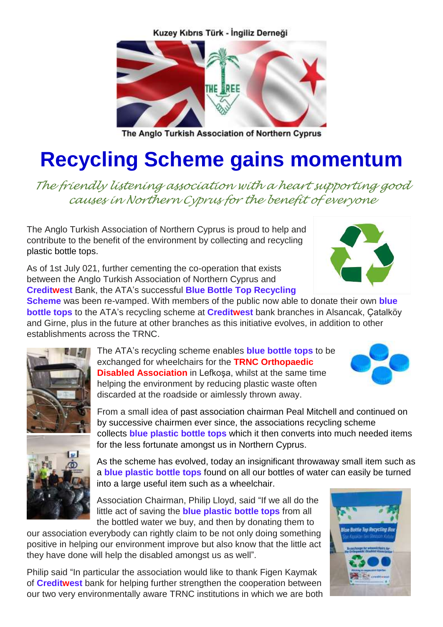Kuzey Kıbrıs Türk - İngiliz Derneği



The Anglo Turkish Association of Northern Cyprus

## **Recycling Scheme gains momentum**

*The friendly listening association with a heart supporting good causes in Northern Cyprus for the benefit of everyone*

The Anglo Turkish Association of Northern Cyprus is proud to help and contribute to the benefit of the environment by collecting and recycling plastic bottle tops.

As of 1st July 021, further cementing the co-operation that exists between the Anglo Turkish Association of Northern Cyprus and **Creditwest** Bank, the ATA's successful **Blue Bottle Top Recycling** 

**Scheme** was been re-vamped. With members of the public now able to donate their own **blue bottle tops** to the ATA's recycling scheme at **Creditwest** bank branches in Alsancak, Ҫatalköy and Girne, plus in the future at other branches as this initiative evolves, in addition to other establishments across the TRNC.



The ATA's recycling scheme enables **blue bottle tops** to be exchanged for wheelchairs for the **TRNC Orthopaedic Disabled Association** in Lefkoşa, whilst at the same time helping the environment by reducing plastic waste often discarded at the roadside or aimlessly thrown away.



From a small idea of past association chairman Peal Mitchell and continued on by successive chairmen ever since, the associations recycling scheme collects **blue plastic bottle tops** which it then converts into much needed items for the less fortunate amongst us in Northern Cyprus.

As the scheme has evolved, today an insignificant throwaway small item such as a **blue plastic bottle tops** found on all our bottles of water can easily be turned into a large useful item such as a wheelchair.

Association Chairman, Philip Lloyd, said "If we all do the little act of saving the **blue plastic bottle tops** from all the bottled water we buy, and then by donating them to

our association everybody can rightly claim to be not only doing something positive in helping our environment improve but also know that the little act they have done will help the disabled amongst us as well".

Philip said "In particular the association would like to thank Figen Kaymak of **Creditwest** bank for helping further strengthen the cooperation between our two very environmentally aware TRNC institutions in which we are both

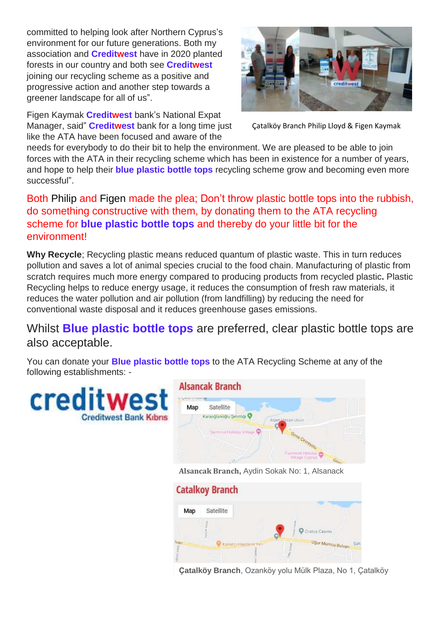committed to helping look after Northern Cyprus's environment for our future generations. Both my association and **Creditwest** have in 2020 planted forests in our country and both see **Creditwest** joining our recycling scheme as a positive and progressive action and another step towards a greener landscape for all of us".

Figen Kaymak **Creditwest** bank's National Expat Manager, said" **Creditwest** bank for a long time just like the ATA have been focused and aware of the



Ҫatalköy Branch Philip Lloyd & Figen Kaymak

needs for everybody to do their bit to help the environment. We are pleased to be able to join forces with the ATA in their recycling scheme which has been in existence for a number of years, and hope to help their **blue plastic bottle tops** recycling scheme grow and becoming even more successful".

Both Philip and Figen made the plea; Don't throw plastic bottle tops into the rubbish, do something constructive with them, by donating them to the ATA recycling scheme for **blue plastic bottle tops** and thereby do your little bit for the environment!

**Why Recycle**; Recycling plastic means reduced quantum of plastic waste. This in turn reduces pollution and saves a lot of animal species crucial to the food chain. Manufacturing of plastic from scratch requires much more energy compared to producing products from recycled plastic**.** Plastic Recycling helps to reduce energy usage, it reduces the consumption of fresh raw materials, it reduces the water pollution and air pollution (from landfilling) by reducing the need for conventional waste disposal and it reduces greenhouse gases emissions.

## Whilst **Blue plastic bottle tops** are preferred, clear plastic bottle tops are also acceptable.

You can donate your **Blue plastic bottle tops** to the ATA Recycling Scheme at any of the following establishments: -

cred **Creditwest Bank Kibns** 





**Ҫatalköy Branch**, Ozanköy yolu Mülk Plaza, No 1, Ҫatalköy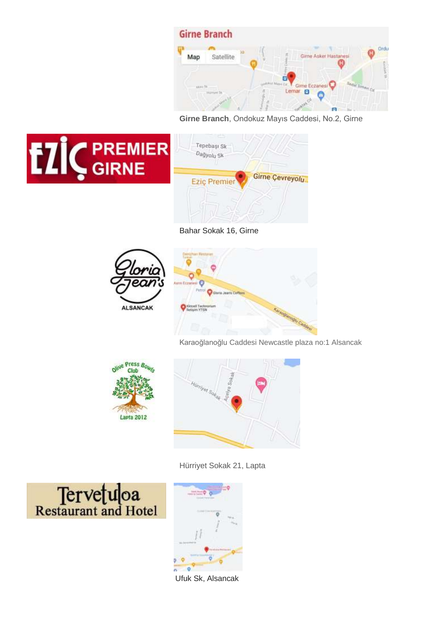

**Girne Branch**, Ondokuz Mayıs Caddesi, No.2, Girne





Bahar Sokak 16, Girne



Karaoğlanoğlu Caddesi Newcastle plaza no:1 Alsancak





Hürriyet Sokak 21, Lapta





Ufuk Sk, Alsancak